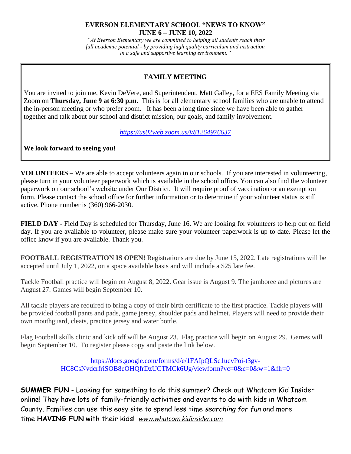## **EVERSON ELEMENTARY SCHOOL "NEWS TO KNOW" JUNE 6 – JUNE 10, 2022**

*"At Everson Elementary we are committed to helping all students reach their full academic potential - by providing high quality curriculum and instruction in a safe and supportive learning environment."*

## **FAMILY MEETING**

You are invited to join me, Kevin DeVere, and Superintendent, Matt Galley, for a EES Family Meeting via Zoom on **Thursday, June 9 at 6:30 p.m**. This is for all elementary school families who are unable to attend the in-person meeting or who prefer zoom. It has been a long time since we have been able to gather together and talk about our school and district mission, our goals, and family involvement.

*<https://us02web.zoom.us/j/81264976637>*

**We look forward to seeing you!**

**VOLUNTEERS** – We are able to accept volunteers again in our schools. If you are interested in volunteering, please turn in your volunteer paperwork which is available in the school office. You can also find the volunteer paperwork on our school's website under Our District. It will require proof of vaccination or an exemption form. Please contact the school office for further information or to determine if your volunteer status is still active. Phone number is (360) 966-2030.

**FIELD DAY -** Field Day is scheduled for Thursday, June 16. We are looking for volunteers to help out on field day. If you are available to volunteer, please make sure your volunteer paperwork is up to date. Please let the office know if you are available. Thank you.

**FOOTBALL REGISTRATION IS OPEN!** Registrations are due by June 15, 2022. Late registrations will be accepted until July 1, 2022, on a space available basis and will include a \$25 late fee.

Tackle Football practice will begin on August 8, 2022. Gear issue is August 9. The jamboree and pictures are August 27. Games will begin September 10.

All tackle players are required to bring a copy of their birth certificate to the first practice. Tackle players will be provided football pants and pads, game jersey, shoulder pads and helmet. Players will need to provide their own mouthguard, cleats, practice jersey and water bottle.

Flag Football skills clinic and kick off will be August 23. Flag practice will begin on August 29. Games will begin September 10. To register please copy and paste the link below.

> [https://docs.google.com/forms/d/e/1FAIpQLSc1ucvPoi-t3gv-](https://nam12.safelinks.protection.outlook.com/?url=https%3A%2F%2Fdocs.google.com%2Fforms%2Fd%2Fe%2F1FAIpQLSc1ucvPoi-t3gv-HC8CsNvdcrfriSOB8eOHQfrDzUCTMCk6Ug%2Fviewform%3Fvc%3D0%26c%3D0%26w%3D1%26flr%3D0&data=05%7C01%7Camy.dewaard%40nv.k12.wa.us%7C93ef22a9d6ce4627abac08da3518dc74%7Ca56bb902f2c7423997eecb823dfe89c7%7C1%7C0%7C637880678875697414%7CUnknown%7CTWFpbGZsb3d8eyJWIjoiMC4wLjAwMDAiLCJQIjoiV2luMzIiLCJBTiI6Ik1haWwiLCJXVCI6Mn0%3D%7C2000%7C%7C%7C&sdata=KiCE8sbBA5jX%2FyDQDK6Gi%2FceoJRiJI6%2FjlCClGuPDyA%3D&reserved=0)[HC8CsNvdcrfriSOB8eOHQfrDzUCTMCk6Ug/viewform?vc=0&c=0&w=1&flr=0](https://nam12.safelinks.protection.outlook.com/?url=https%3A%2F%2Fdocs.google.com%2Fforms%2Fd%2Fe%2F1FAIpQLSc1ucvPoi-t3gv-HC8CsNvdcrfriSOB8eOHQfrDzUCTMCk6Ug%2Fviewform%3Fvc%3D0%26c%3D0%26w%3D1%26flr%3D0&data=05%7C01%7Camy.dewaard%40nv.k12.wa.us%7C93ef22a9d6ce4627abac08da3518dc74%7Ca56bb902f2c7423997eecb823dfe89c7%7C1%7C0%7C637880678875697414%7CUnknown%7CTWFpbGZsb3d8eyJWIjoiMC4wLjAwMDAiLCJQIjoiV2luMzIiLCJBTiI6Ik1haWwiLCJXVCI6Mn0%3D%7C2000%7C%7C%7C&sdata=KiCE8sbBA5jX%2FyDQDK6Gi%2FceoJRiJI6%2FjlCClGuPDyA%3D&reserved=0)

**SUMMER FUN** - Looking for something to do this summer? Check out Whatcom Kid Insider online! They have lots of family-friendly activities and events to do with kids in Whatcom County. Families can use this easy site to spend less time *searching for fun* and more time **HAVING FUN** with their kids! *[www.whatcom.kidinsider.com](http://www.whatcom.kidinsider.com/)*